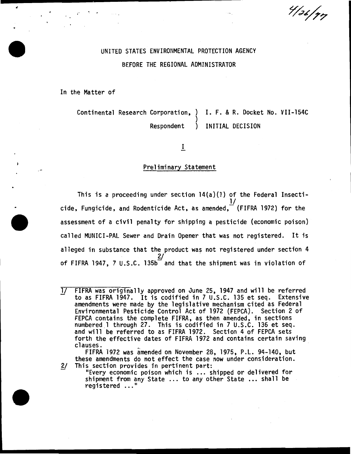$\frac{4}{36/77}$ 

# UNITED STATES ENVIRONMENTAL PROTECTION AGENCY BEFORE THE REGIONAL ADMINISTRATOR

In the Matter of

.,.

Continental Research Corporation, ) I. F. & R. Docket No. VII-154C ) Respondent ) INITIAL DECISION

I

## Preliminary Statement

This is a proceeding under section 14(a)(l) of the Federal Insecti- $\underline{\mathsf{1}\mathsf{1}}$ cide, Fungicide, and Rodenticide Act, as amended, $\overline{\phantom{x}}$  (FIFRA 1972) for the assessment of a civil penalty for shipping a pesticide {economic poison) called MUNICI-PAL Sewer and Drain Opener that was not registered. It is alleged in substance that the product was not registered under section 4 2/ ' of FIFRA 1947, 7 U.S.C. 135b and that the shipment was in violation of

FIFRA 1972 was amended on November 28, 1975, P.L. 94-140, but

these amendments do not effect the case now under consideration. *Y* This section provides in pertinent part: 11Every economic poison which is ... shipped or delivered for shipment from any State ... to any other State ... shall be registered ..."

l/ FIFRA was originally approved on June 25, 1947 and will be referred to as FIFRA 1947. It is codified in 7 U.S.C. 135 et seq. Extensive amendments were made by the legislative mechanism cited as Federal Environmental Pesticide Control Act of 1972 {FEPCA). Section 2 of FEPCA contains the complete FIFRA, as then amended, in sections numbered 1 through 27. This is codified in 7 U.S.C. 136 et seq.<br>and will be referred to as FIFRA 1972. Section 4 of FEPCA sets forth the effective dates of FIFRA 1972 and contains certain saving clauses.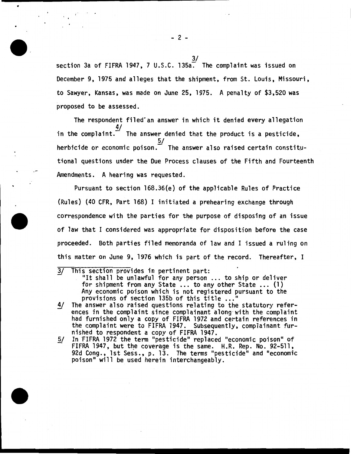$\frac{3}{2}$ section 3a of FIFRA 1947, 7 U.S.C. 135a. The complaint was issued on December 9, 1975 and alleges that the shipment, from St. Louis, Missouri, to Sawyer, Kansas, was made on June 25, 1975. A penalty of \$3,520 was proposed to be assessed.

The respondent filed an answer in which it denied every allegation in the complaint. $\frac{4}{1}$ The answer denied that the product is a pesticide,  $\frac{5}{ }$ herbicide or economic poison. $\bar{\phantom{a}}$  The answer also raised certain constitutional questions under the Due Process clauses of the Fifth and Fourteenth Amendments. A hearing was requested.

Pursuant to section 168.36(e) of the applicable Rules of Practice {Rules) {40 CFR, Part 168) I initiated a prehearing exchange through correspondence with the parties for the purpose of disposing of an issue of law that I considered was appropriate for disposition before the case proceeded. Both parties filed memoranda of law and I issued a ruling on this matter on June 9, 1976 which is part of the record. Thereafter, I

- 
- 3/ This section provides in pertinent part: "It shall be unlawful for any person ... to ship or deliver for shipment from any State ... to any other State ... (1) Any economic poison which is not registered pursuant to the provisions of section 135b of this title ..."
- 4/ The answer also raised questions relating to the statutory references in the complaint since complainant along with the complaint<br>had furnished only a copy of FIFRA 1972 and certain references in the complaint were to FIFRA 1947. Subsequently, complainant furnished to respondent a copy of FIFRA 1947.
- 5/ In FIFRA 1972 the term "pesticide" replaced "economic poison" of FIFRA 1947, but the coverage is the same.  $H.R.$  Rep. No. 92-511, 92d Cong., 1st Sess., p. 13. The terms "pesticide" and "economic poison" will be used herein interchangeably.

- 2 -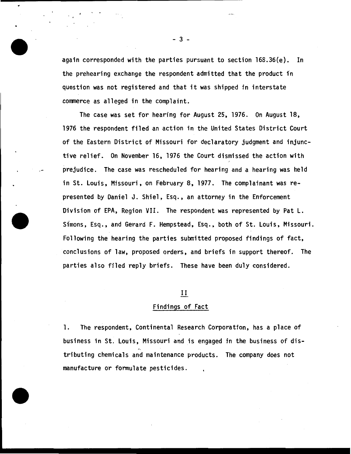again corresponded with the parties pursuant to section 168.36(e). In the prehearing exchange the respondent admitted that the product fn question was not registered and that it was shipped in interstate commerce as alleged in the complaint.

The case was set for hearing for August 25, 1976. On August 18, 1976 the respondent filed an action in the United States District Court of the Eastern District of Missouri for declaratory judgment and injunctive relief. On November 16, 1976 the Court dismissed the action with prejudice. The case was rescheduled for hearing and a hearing was held in St. Louis, Missouri, on February 8, 1977. The complainant was represented by Daniel J. Shiel, Esq., an attorney in the Enforcement Division of EPA, Region VII. The respondent was represented by Pat L. Simons, Esq., and Gerard F. Hempstead, Esq., both of St. Louis, Missouri. Following the hearing the parties submitted proposed findings of fact, conclusions of law, proposed orders, and briefs in support thereof. The parties also filed reply briefs. These have been duly considered.

## II

## Findings of Fact

1. The respondent, Continental Research Corporation, has a place of business in St. Louis, Missouri and is engaged in the business of distributing chemicals and maintenance products. The company does not manufacture or formulate pesticides.

- 3 -

 $\overline{\phantom{a}}$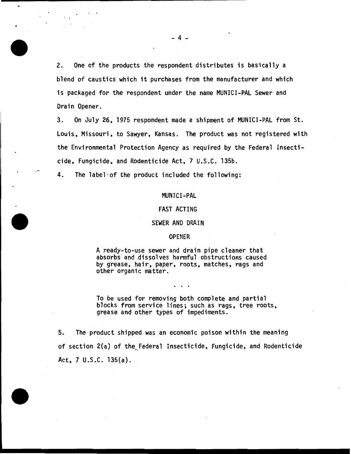2. One of the products the respondent distributes is basically a blend of caustics which it purchases from the manufacturer and which is packaged for the respondent under the name MUNICI-PAL Sewer and Drain Opener.

3. On July 26, 1975 respondent made a shipment of MUNICI-PAL from St. Louis, Missouri, to Sawyer, Kansas. The product was not registered with the Environmental Protection Agency as required by the Federal Insecticide, Fungicide, and Rodenticide Act, 7 U.S.C. 135b.

4. The label·of the product included the following:

#### MUNICI-PAL

## FAST ACTING

#### SEWER AND DRAIN

#### OPENER

A ready-to-use sewer and drain pipe cleaner that absorbs and dissolves harmful obstructions caused by grease, hair, paper, roots, matches, rags and other organic matter.

To be used for removing both complete and partial<br>blocks from service lines; such as rags, tree roots, grease and other types of impediments.

5. The product shipped was an economic poison within the meaning of section 2(a) of the Federal Insecticide, Fungicide, and Rodenticide Act,  $7 \cup .S.C. 135(a)$ .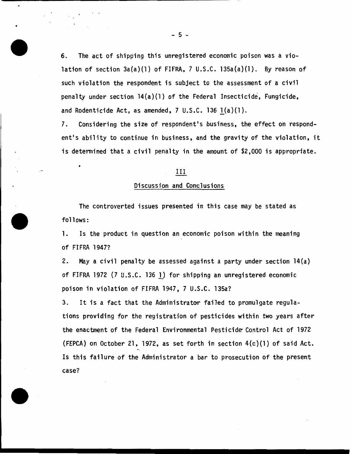6. The act of shipping this unregistered economic poison was a violation of section 3a(a)(l) of FIFRA, 7 U.S.C. 135a(a)(l). By reason of such violation the respondent is subject to the assessment of a civil penalty under section 14(a)(l} of the Federal Insecticide, Fungicide, and Rodenticide Act, as amended,  $7 \cup .5.C.$  136  $1(a)(1)$ .

7. Considering the size of respondent's business, the effect on respondent's ability to continue in business, and the gravity of the violation, it is determined that a civil penalty in the amount of \$2,000 is appropriate.

#### III

#### Discussion and Conclusions

The controverted issues presented in this case may be stated as follows:

1. Is the product in question an economic poison within the meaning of FIFRA 1947?

2. May a civil penalty be assessed against a party under section 14(a) of FIFRA 1972 (7 U.S.C. 136 !) for shipping an unregistered economic poison in violation of FIFRA 1947, 7 U.S.C. 135a?

3. It is a fact that the Administrator failed to promulgate regulations providing for the registration of pesticides within two years after the enactment of the Federal Environmental Pesticide Control Act of 1972 (FEPCA) on October 21, 1972, as set forth in section  $4(c)(1)$  of said Act. Is this failure of the Administrator a bar to prosecution of the present case?

 $-5 -$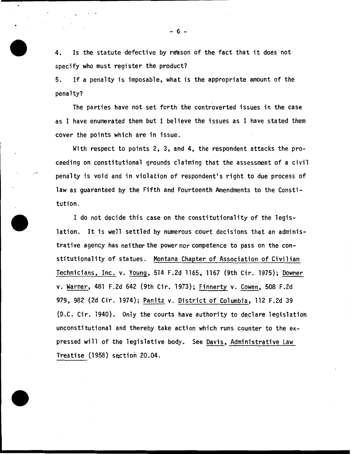4. Is the statute defective by reason of the fact that it does not specify who must register the product?

5. If a penalty is imposable, what is the appropriate amount of the penalty?

The parties have not set forth the controverted issues in the case as I have enumerated them but I believe the issues as I have stated them cover the points which are in issue.

With respect to points 2, 3, and 4, the respondent attacks the proceeding on constitutional grounds claiming that the assessment of a civil penalty is void and in violation of respondent's right to due process of law as guaranteed by the Fifth and Fourteenth Amendments to the Constitution.

I do not decide this case on the constitutionality of the legislation. It is well settled by numerous court decisions that an administrative agency has neither the power nor competence to pass on the constitutionality of statues. Montana Chapter of Association of Civilian Technicians, Inc. v. Young, 514 F.2d 1165, 1167 (9th Cir. 1975); Downer v. Warner, 481 F.2d 642 (9th Cir. 1973); Finnerty v. Cowen, 508 F.2d 979, 982 (2d Cir. 1974); Panitz v. District of Columbia, 112 F.2d 39 (D.C. Cir. 1940). Only the courts have authority to declare legislation unconstitutional and thereby take action which runs counter to the expressed will of the legislative body. See Davis, Administrative Law Treatise (1958) section 20.04.

- 6 -

 $\bullet$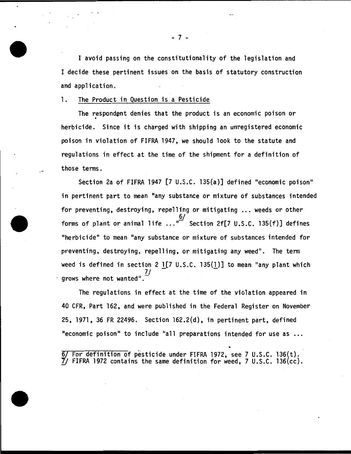I avoid passing on the constitutionality of the legislation and I decide these pertinent issues on the basis of statutory construction and application.

1. The Product in Question is a Pesticide

The respondent denies that the product is an economic poison or<br>herbicide. Since it is charged with shipping an unregistered economic poison in violation of FIFRA 1947, we should look to the statute and regulations in effect at the time of the shipment for a definition of those terms.

Section 2a of FIFRA 1947 [7 U.S.C. 135(a)] defined "economic poison" in pertinent part to mean "any substance or mixture of substances intended for preventing, destroying, repelling or mitigating ... weeds or other 6/ forms of plant or animal life  $\dots$ <sup>"</sup> Section 2f[7 U.S.C. 135(f)] defines "herbicide" to mean "any substance or mixture of substances intended for preventing, destroying, repelling, or mitigating any weed". The term weed is defined in section 2 1 $[7 \cup .5.C. 135(1)]$  to mean "any plant which *71*  grows where not wanted".

The regulations in effect at the time of the violation appeared in 40 CFR, Part 162, and were published in the Federal Register on November 25, 1971, 36 FR 22496. Section 162.2(d), in pertinent part, defined "economic poison" to include "all preparations intended for use as ...

For definition of pesticide under FIFRA 1972, see 7 U.S.C. 136(t).  $7$ / FIFRA 1972 contains the same definition for weed, 7 U.S.C. 136(cc).

- 7 -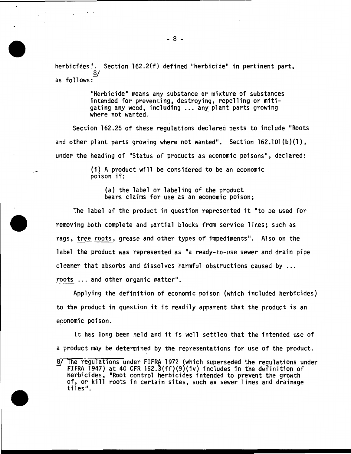herbicides". Section 162.2{f) defined "herbicide" in pertinent part,  $\overline{8}/$ as follows:

> "Herbicide" means any substance or mixture of substances intended for preventing, destroying, repelling or mitigating any weed, including ... any plant parts growing where not wanted.

Section 162.25 of these regulations declared pests to include "Roots and other plant parts growing where not wanted". Section  $162.101(b)(1)$ , under the heading of "Status of products as economic poisons", declared:

> (i) A product will be considered to be an economic poison if:

(a) the label or labeling of the product bears claims for use as an economic poison;

The label of the product in question represented it "to be used for removing both complete and partial blocks from service lines; such as rags, tree roots, grease and other types of impediments". Also on the label the product was represented as "a ready-to-use sewer and drain pipe cleaner that absorbs and dissolves harmful obstructions caused by ..• roots ... and other organic matter".

Applying the definition of economic poison (which included herbicides) to the product in question it it readily apparent that the product is an economic poison.

It has long been held and it is well settled that the intended use of a product may be determined by the representations for use of the product.

<sup>8/</sup> The regulations under FIFRA 1972 (which superseded the regulations under FIFRA 1947) at 40 CFR 162.3(ff)(9)(iv) includes in the definition of herbicides, "Root control herbicides intended to prevent the growth of, or kill roots in certain sites, such as sewer lines and drainage tiles".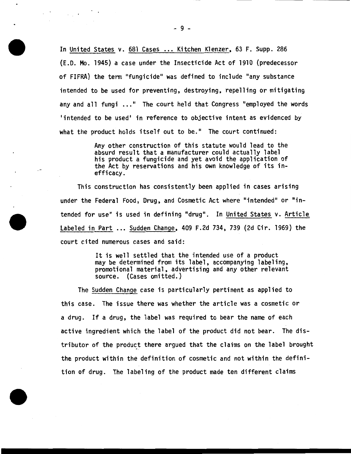In United States v. 681 Cases ... Kitchen Klenzer, 63 F. Supp. 286 (E.D. Mo. 1945} a case under the Insecticide Act of 1910 (predecessor of FIFRA) the term "fungicide" was defined to include "any substance intended to be used for preventing, destroying, repelling or mitigating any and all fungi ..." The court held that Congress "employed the words 'intended to be used' in reference to objective intent as evidenced by what the product holds itself out to be." The court continued:

> Any other construction of this statute would lead to the absurd result that a manufacturer could actually label his product a fungicide and yet avoid the application of the Act by reservations and his own knowledge of its inefficacy.

This construction has consistently been applied in cases arising under the Federal Food, Drug, and Cosmetic Act where "intended" or "intended for use" is used in defining "drug". In United States v. Article Labeled in Part ... Sudden Change, 409 F.2d 734, 739 (2d Cir. 1969) the court cited numerous cases and said:

> It is well settled that the intended use of a product may be determined from its label, accompanying labeling, promotional material, advertising and any other relevant source. (Cases omitted.}

The Sudden Change case is particularly pertinent as applied to this case. The issue there was whether the article was a cosmetic or a drug. If a drug, the label was required to bear the name of each active ingredient which the label of the product did not bear. The distributor of the product there argued that the claims on the label brought the product within the definition of cosmetic and not within the definition of drug. The labeling of the product made ten different claims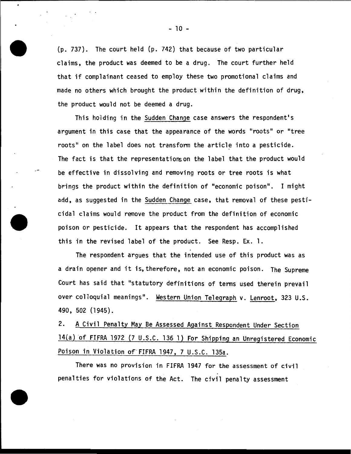(p. 737). The court held (p. 742) that because of two particular claims, the product was deemed to be a drug. The court further held that if complainant ceased to employ these two promotional claims and made no others which brought the product within the definition of drug, the product would not be deemed a drug.

This holding in the Sudden Change case answers the respondent's argument in this case that the appearance of the words "roots" or "tree roots" on the label does not transform the article into a pesticide. The fact is that the representations on the label that the product would be effective in dissolving and removing roots or tree roots is what brings the product within the definition of "economic poison". I might add, as suggested in the Sudden Change case, that removal of these pesticidal claims would remove the product from the definition of economic poison or pesticide. It appears that the respondent has accomplished this in the revised label of the product. See Resp. Ex. 1.

The respondent argues that the intended use of this product was as a drain opener and it is, therefore, not an economic poison. The Supreme Court has said that "statutory definitions of tenns used therein prevail over colloquial meanings". Western Union Telegraph v. Lenroot, 323 U.S. 490, 502 (1945).

2. A Civil Penalty May Be Assessed Against Respondent Under Section 14(a) of FIFRA 1972 (7 U.S.C. 136 1) For Shipping an Unregistered Economic Poison in Violation of'FIFRA 1947, 7 U.S.C. 135a.

There was no provision in FIFRA 1947 for the assessment of civil penalties for violations of the Act. The civil penalty assessment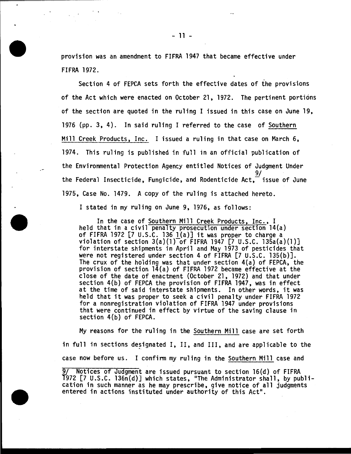provision was an amendment to FIFRA 1947 that became effective under FIFRA 1972.

Section 4 of FEPCA sets forth the effective dates of the provisions of the Act which were enacted on October 21, 1972. The pertinent portions of the section are quoted in the ruling I issued in this case on June 19, 1976 (pp. 3, 4). In said ruling I referred to the case of Southern Mill Creek Products, Inc. I issued a ruling in that case on March 6, 1974. This ruling is published in full in an official publication of the Environmental Protection Agency entitled Notices of Judgment Under 9/ the Federal Insecticide, Fungicide, and Rodenticide Act, $\bar{\phantom{a}}$  issue of June 1975, Case No. 1479. A copy of the ruling is attached hereto.

I stated in my ruling on June 9, 1976, as follows:

In the case of Southern Mill Creek Products, Inc., I held that in a civil penalty prosecution under section 14(a) of FIFRA 1972  $[7 \cup S.C. 136]$   $(a)$  it was proper to charge a violation of section  $3(a)(1)$  of FIFRA 1947 [7 U.S.C. 135a(a)(1)] for interstate shipments in April and May 1973 of pesticides that were not registered under section 4 of FIFRA [7 U.S.C. 135(b)]. The crux of the holding was that under section  $4(a)$  of FEPCA, the provision of section  $14(a)$  of FIFRA 1972 became effective at the close of the date of enactment (October 21, 1972) and that under section 4(b) of FEPCA the provision of FIFRA 1947, was in effect at the time of said interstate shipments. In other words, it was held that it was proper to seek a civil penalty under FIFRA 1972 for a nonregistration violation of FIFRA 1947 under provisions that were continued in effect by virtue of the saving clause in section 4(b) of FEPCA.

My reasons for the ruling in the Southern Mill case are set forth in full in sections designated I, II, and III, and are applicable to the case now before us. I confirm my ruling in the Southern Mill case and

9/ Notices of Judgment are issued pursuant to section 16(d) of FIFRA T972 [7 U.S.C. 136n(d)] which states, "The Administrator shall, by publi-<br>cation in such manner as he may prescribe, give notice of all judgments<br>entered in actions instituted under authority of this Act".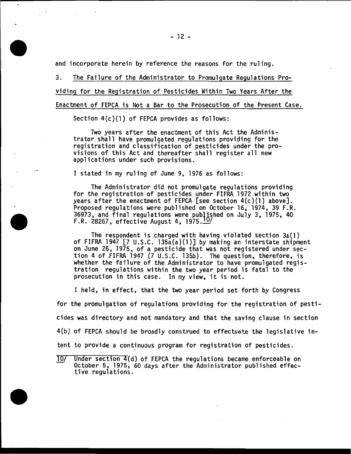and incorporate herein by reference the reasons for the ruling.

3. The Failure of the Administrator to Promulgate Regulations Providing for the Registration of Pesticides Within Two Years After the Enactment of FEPCA is Not a Bar to the Prosecution of the Present Case.

Section 4(c)(l) of FEPCA provides as follows:

Two years after the enactment of this Act the Administrator shall have promulgated regulations providing for the registration and classification of pesticides under the pro- visions of this Act and thereafter shall register all new applications under such provisions.

I stated in my ruling of June 9, 1976 as follows:

The Administrator did not promulgate regulations providing for the registration of pesticides under FIFRA 1972 within two years after the enactment of FEPCA [see section 4(c)(l) above]. Proposed regulations were published on October 16, 1974, 39 F.R. 36973, and final regulations were published on July 3, 1975, 40 F.R. 28267, effective August 4, 1975. 10/

The respondent is charged with having violated section 3a(1) of FIFRA 1947 [7 U.S.C. 135a(a)(l)] by making an interstate shipment on June 26, 1975, of a pesticide that was not registered under section 4 of FIFRA 1947 (7 U.S.C. 135b). The question, therefore, is<br>whether the failure of the Administrator to have promulgated registration regulations within the two year period is fatal to the prosecution in this case. In my view, it is not.

I held, in effect, that the two year period set forth by Congress

for the promulgation of regulations providing for the registration of pesticides was directory and not mandatory and that the saving clause in section 4(b} of FEPCA should be broadly construed to effectuate the legislative intent to provide a contjnuous program for registration of pesticides.

10/ Under section 4(d) of FEPCA the regulations became enforceable on October 5, 1975, 60 days after the Administrator published effective regulations.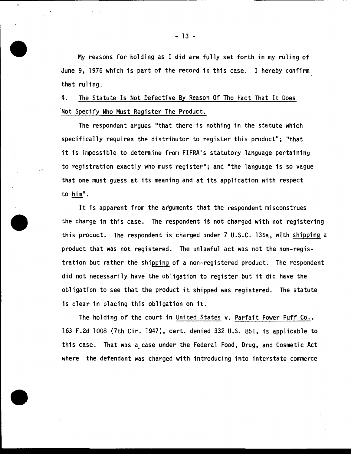My reasons for holding as I did are fully set forth in my ruling of June 9, 1976 which is part of the record in this case. I hereby confirm that ruling.

4. The Statute Is Not Defective By Reason Of The Fact That It Does Not Specify Who Must Register The Product.

The respondent argues "that there is nothing in the statute which specifically requires the distributor to register this product"; "that it is impossible to determine from FIFRA•s statutory language pertaining to registration exactly who must register"; and "the language is so vague that one must guess at its meaning and at its application with respect to him".

It is apparent from the arguments that the respondent misconstrues the charge in this case. The respondent is not charged with not registering this product. The respondent is charged under 7 U.S.C. 135a, wtth Shipping a product that was not registered. The unlawful act was not the non-registration but rather the shipping of a non-registered product. The respondent did not necessarily have the obligation to register but it did have the obligation to see that the product it shipped was registered. The statute is clear in placing this obligation on it.

The holding of the court in United States v. Parfait Power Puff Co., 163 F.2d 1008 (7th Cir. 1947), cert. denied 332 U.S. 851, is applicable to this case. That was a case under the Federal Food, Drug, and Cosmetic Act where the defendant was charged with introducing into interstate commerce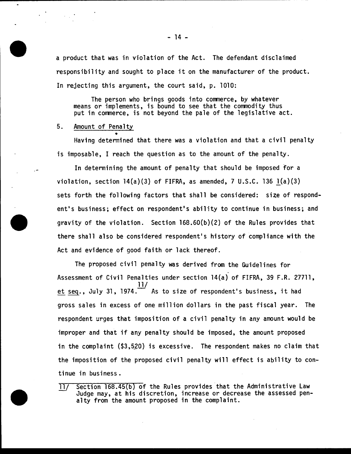a product that was in violation of the Act. The defendant disclaimed responsibility and sought to place it on the manufacturer of the product. In rejecting this argument, the court said, p. 1010:

The person who brings goods into commerce, by whatever means or implements, is bound to see that the commodity thus put in commerce, is not beyond the pale of the legislative act.

5. Amount of Penalty

• Having determined that there was a violation and that a civil penalty is imposable, I reach the question as to the amount of the penalty.

In determining the amount of penalty that should be imposed for a violation, section  $14(a)(3)$  of FIFRA, as amended, 7 U.S.C. 136  $1(a)(3)$ sets forth the following factors that shall be considered: size of respondent's business; effect on respondent's ability to continue in business; and gravity of the violation. Section 168.60(b)(2) of the Rules provides that there shall also be considered respondent's history of compliance with the Act and evidence of good faith or lack thereof.

The proposed civil penalty was derived from the Guidelines for Assessment of Civil Penalties under section 14(a) of FIFRA, 39 F.R. 27711, <u>et seq</u>., July 31, 1974. $\frac{111}{11}$  As to size of respondent's business, it had gross sales in excess of one million dollars in the past fiscal year. The respondent urges that imposition of a civil penalty in any amount would be improper and that if any penalty should be imposed, the amount proposed in the complaint (\$3,520) is excessive. The respondent makes no claim that the imposition of the proposed civil penalty will effect is ability to continue in business.

11/ Section 168.45(b) of the Rules provides that the Administrative Law Judge may, at his discretion, increase or decrease the assessed penalty from the amount proposed in the complaint.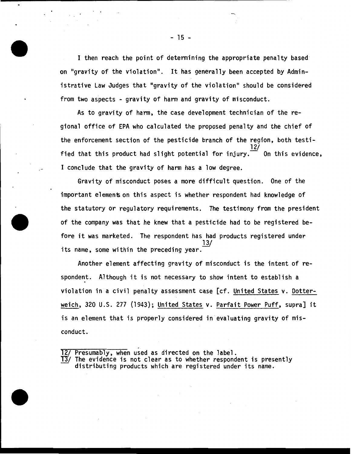I then reach the point of determining the appropriate penalty based on "gravity of the violation". It has generally been accepted by Administrative Law Judges that "gravity of the violation" should be considered from two aspects - gravity of harm and gravity of misconduct.

As to gravity of harm, the case development technician of the regional office of EPA who calculated the proposed penalty and the chief of the enforcement section of the pesticide branch of the region, both testi- $12)$ fied that this product had slight potential for injury.  $\overline{\phantom{a}}$  On this evidence, I conclude that the gravity of harm has a low degree.

Gravity of misconduct poses a more difficult question. One of the important elements on this aspect is whether respondent had knowledge of the statutory or regulatory requirements. The testimony from the president of the company was that he knew that a pesticide had to be registered before it was marketed. The respondent has had products registered under 13/ its name, some within the preceding year.

Another element affecting gravity of misconduct is the intent of respondent. Although it is not necessary to show intent to establish a violation in a civil penalty assessment case [cf. United States v. Detterweich, 320 U.S. 277 (1943); United States v. Parfait Power Puff, supra] it is an element that is properly considered in evaluating gravity of misconduct.

. 12/ Presumably, when used as directed on the label.

 $\overline{13}$ / The evidence is not clear as to whether respondent is presently distributing products which are registered under its name.

- 15 -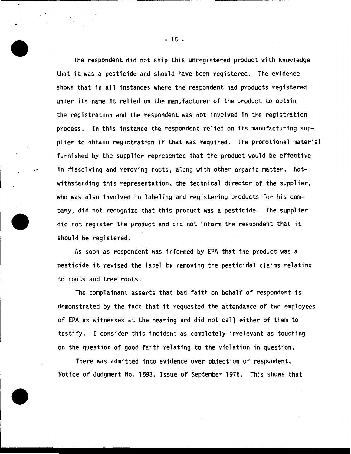The respondent did not ship this unregistered product with knowledge that it was a pesticide and should have been registered. The evidence shows that in all instances where the respondent had products registered under its name it relied on the manufacturer of the product to obtain the registration and the respondent was not involved in the registration process. In this instance the respondent relied on its manufacturing supplier to obtain registration if that was required. The promotional material furnished by the supplier represented that the product would be effective in dissolving and removing roots, along with other organic matter. Notwithstanding this representation, the technical director of the supplier, who was also involved in labeling and registering products for his company, did not recognize that this product was a pesticide. The supplier did not register the product and did not inform the respondent that it should be registered.

As soon as respondent was informed by EPA that the product was a pesticide it revised the label by removing the pesticidal claims relating to roots and tree roots.

The complainant asserts that bad faith on behalf of respondent is demonstrated by the fact that it requested the attendance of two employees of EPA as witnesses at the hearing and did not call either of them to testify. I consider this incident as completely irrelevant as touching on the question of good faith relating to the violation in question.

There was admitted into evidence over objection of respondent, Notice of Judgment No. 1593, Issue of September 1975. This shows that

- 16 -

 $\cdot$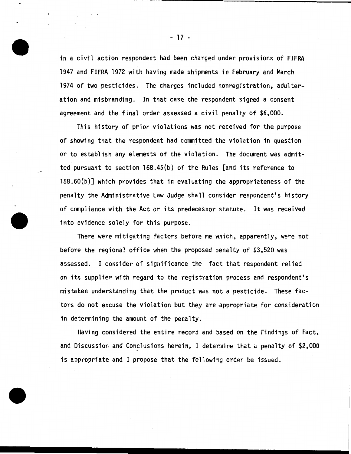in a civil action respondent had been charged under provisions of FIFRA 1947 and FIFRA 1972 with having made shipments in February and March 1974 of two pesticides. The charges included nonregistration, adulteration and misbranding. In that case the respondent signed a consent agreement and the final order assessed a civil penalty of \$6,000.

This history of prior violations was not received for the purpose of showing that the respondent had committed the violation in question or to establish any elements of the violation. The document was admitted pursuant to section 168.45(b) of the Rules [and its reference to l68.60(b)] which provides that in evaluating the appropriateness of the penalty the Administrative Law Judge shall consider respondent's history of compliance with the Act or its predecessor statute. It was received into evidence solely for this purpose.

There were mitigating factors before me which, apparently, were not before the regional office when the proposed penalty of \$3,520 was assessed. I consider of significance the fact that respondent relied on its supplier with regard to the registration process and respondent's mistaken understanding that the product was not a pesticide. These factors do not excuse the violation but they are appropriate for consideration in determining the amount of the penalty.

Having considered the entire record and based on the Findings of Fact, and Discussion and Conclusions herein, I determine that a penalty of \$2,000 is appropriate and I propose that the following order be issued.

- 17 -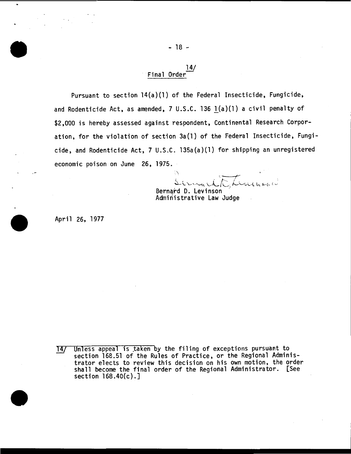#### 14/ Final Order<sup>-</sup>

Pursuant to section 14(a)(l) of the Federal Insecticide, Fungicide, and Rodenticide Act, as amended, 7 U.S.C. 136 l(a)(l) a civil penalty of \$2,000 is hereby assessed against respondent, Continental Research Corporation, for the violation of section 3a(l) of the Federal Insecticide, Fungicide, and Rodenticide Act, 7 U.S.C. 135a(a)(l) for shipping an unregistered economic poison on June 26, 1975.

•, -----f" ~... ~ - . ,\_..\_ / . <sup>~</sup> ...\_ '-- "\...,. "-'-"~~ ....\_\_L *t.L.* "-"''-"l-'--t t..\_. y c;,. { <sup>~</sup>

Bernard D. Levinson<br>Administrative Law Judge

April 26, 1977

 $\bullet$ 

Unless appeal is taken by the filing of exceptions pursuant to  $14/$ section 168.51 of the Rules of Practice, or the Regional Administrator elects to review this decision on his own motion, the order shall become the final order of the Regional Administrator. [See section 168.40(c).]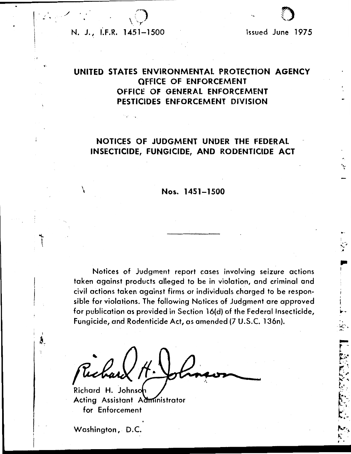# -o;- : ..... \_. '' *\_:',* -, */* ' N. J., I.F.R. 1451-1500

, r

 $\ddot{}$ 

Issued June 1975

.. I

# UNITED STATES ENVIRONMENTAL PROTECTION AGENCY OFFICE OF ENFORCEMENT OfFICE OF GENERAL ENFORCEMENT PESTICIDES ENFORCEMENT DIVISION

# NOTICES OF JUDGMENT UNDER THE FEDERAL INSECTICIDE, FUNGICIDE, AND RODENTICIDE ACT

# \ Nos. 1451-1500

Notices of Judgment report cases involving seizure actions taken against products alleged to be in violation, and criminal and civil actions taken against firms or individuals charged to be responsible for violations. The following Notices of Judgment are approved for publication as provided in Section l6(d) of the Federal Insecticide, Fungicide, and Rodenticide Act, as amended (7 U.S.C. 136n).

Richard H. Johns Acting Assistant Administrator for Enforcement

Washington, D.C.

 $\begin{bmatrix} 1 & 1 \\ 1 & 1 \end{bmatrix}$ 

Å.,  $\ddot{\cdot}$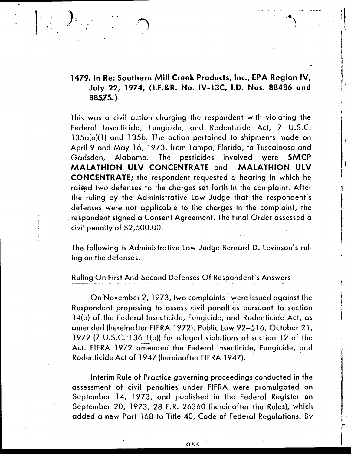# 1479. In Re: Southern Mill Creek Products, Inc., EPA Region IV, July 22, 1974, (I.F.&R. No. IV-13C, 1.0. Nos. 88486 and 88575.)

 $\vert$ 

 $\frac{1}{2}$ .

"·.

This was a civil action charging the respondent with violating the Federal Insecticide, Fungicide, and Rodenticide Act, 7 U.S.C.  $135a(a)$ (1) and  $135b$ . The action pertained to shipments made on April 9 and May 16, 1973, from Tampa, Florida, to Tuscaloosa and Gadsden, Alabama. The pesticides involved were SMCP MALATHION ULV CONCENTRATE and MALATHION ULV CONCENTRATE; the respondent requested a hearing in which he raised two defenses to the charges set forth in the complaint. After the ruling by the Administrative Law Judge that the respondent's defenses were not applicable to the charges in the complaint, the respondent signed a Consent Agreement. The final Order assessed a Civil penalty of \$2,500.00.

fhe following is Administrative law Judge Bernard D. Levinson's ruling on the defenses.

# Ruling On first And Second Defenses Of Respondent's Answers

On November 2, 1973, two complaints, were issued against the Respondent proposing to assess civil panalties pursuant to section 14(a) of the Federal Insecticide, Fungicide, and Rodenticide Act, as amended (hereinafter FIFRA 1972), Public law 92-516, October 21, 1972 (7 U.S.C. 136 1(a)) for alleged violations of section 12 of the Act. FIFRA 1972 amended the Federal Insecticide, Fungicide, and Rodenticide Act of 1947 (hereinafter FIFRA 1947).

Interim Rule of Practice governing proceedings conducted in the assessment of civil penalties under FIFRA were promulgated on September 14, 1973, and published in the Federal Register on September 20, 1973, 28 F.R. 26360 (hereinafter the Rules), which added a new Part 168 to Title 40, Code of Federal Regulations. By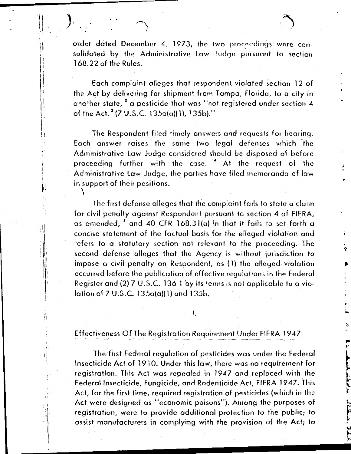l **V** 

> ... .. ,. r

order dated December 4, 1973, the two proceedings were consolidated by the Administrative Law Judge pursuant to section 168.22 of the Rules.

Each complaint alleges that respondent. violated section 12 of the Act by delivering for shipment from Tampa, Florida, to a city in another state,  $^{\text{2}}$  a pesticide that was ''not registered under section 4 of the Act.  $3$  (7 U.S.C. 135a(a)(1), 135b)."

 $\begin{bmatrix} 1 \\ 1 \end{bmatrix}$ 

).  $\qquad \qquad$ 

 $\mathbf{1}$ I I I I  $\prod_{i=1}^{n}$  $\big\}$ .

I

 $\left| \right|$  $\parallel$ 

> j ;j

> > li '! !

I ..

I•

!<br>!!  $\mathbf{I}$ 

I : I I I i I. . I

The Respondent filed timely answers and requests for hearing. Each answer raises the same two legal defenses which the Administrative law Judge considered should be disposed of before proceeding further with the case.<sup>4</sup> At the request of the Administrative Law Judge, the parties have filed memoranda of law in support of their positions. \

The first defense alleges that the complaint fails to state a claim for civil penalty against Respondent pursuant to section 4 of FIFRA, as amended, <sup>5</sup> and 40 CFR 168.31(a) in that it fails to set forth a concise statement of the factual basis for the olleged violation and 'efers to a statutory section not relevant to the proceeding. The second defense alleges that the Agency is without jurisdiction to impose a civil penalty on Respondent, as (1) the alleged violation occurred before the publication of effective regulations in the Federal Register and (2) 7 U.S.C. 136 1 by its terms is not applicable to a violation of  $7 \text{ U.S.C. } 135a(a)(1)$  and  $135b$ .

I.

# Effectiveness Of The Registration Requirement Under FIFRA 1947

The first Federal regulation of pesticides was under the Federal Insecticide Act of 1910. Under this law, there was no requirement for registration. This Act was repealed in 1947 and replaced with the Federal Insecticide, Fungicide, and Rodenticide Act, FIFRA 1947. This Act, for the first time, required registration of pesticides (which in the Act were designed as "economic poisons"). Among the purposes of registration, were to provide additional protection to the public; to assist manufacturers in complying with the provision of the Act; to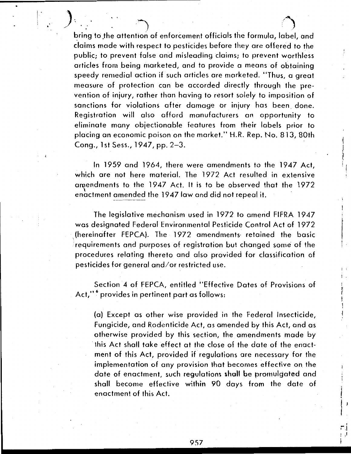I .. J .. ) *t)*  bring to the attention of enforcement officials the formula, label, and claims made with respect to pesticides before they are offered to the public; to prevent false and misleading claims; to prevent worthless articles from being marketed, and to provide a means of obtaining speedy remedial action if such articles are marketed. "Thus, a great measure of protection can be accorded directly through the prevention of injury, rather than having to resort solely to imposition of sanctions for violations after damage or injury has been done. Registration will also afford manufacturers an opportunity to eliminate many objectionable features from their labels prior to placing an economic poison on the market." H.R. Rep. No. 813, 80th Cong., 1st Sess., 1947, pp. 2-3.

------------------------· .... -.. - ... . .... .

 $\left|\cdot\right|$ I

> In 19 59 and 1964, there were amendments to the 1947 Act, which are not here material. The 1972 Act resulted in extensive amendments to the 1947 Act. It is to be observed that the 1972 enactment amended the 1947 law and did not repeal it.

1/  $\mathbf{I}$ 'I I, ' $\mathbb{I}$ 

I

. I

I

; .

I .

 $\mathbb{Z}^4$ ' I . '

 $\rangle$ requirements and purposes of registration but changed some of the The legislative mechanism used in 1972 to amend FIFRA 1947 was designated Federal Environmental Pesticide Control Act of 1972 (hereinafter FEPCA). The 1972 amendments- retained the basic procedures relating thereto and also provided for classification of pesticides for general and/or restricted use.

Section 4 of FEPCA, entitled ''Effective Dates of Provisions of Act,"<sup>6</sup> provides in pertinent part as follows:

(a) Except as other wise provided in the Federal Insecticide, Fungicide, and Rodenticide Act, as amended by this Act, and as otherwise provided by this section, the amendments made by · this Act shall toke effect at the close of the date of the enactment of this Act, provided if regulations are necessary for the implementation of any provision that becomes effective on the date of enactment, such regulations shall be promulgated and shall become effective within 90 days from the dote of enactment of this Act.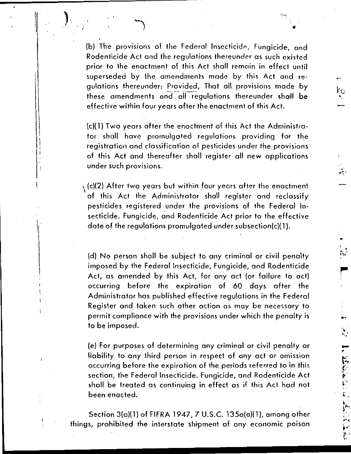(b) The provisions of the Federal Insecticide, Fungicide, and Rodenticide Act and the regulations thereunder as such existed prior to the enactment of this Act shall remoin in effect until superseded by the amendments made by this Act and regulations thereunder: Provided, That all provisions made by these amendments and all regulations thereunder shall be effective within four years after the enactment of this Act.

 $\mathcal{L}^{\text{max}}(\mathcal{L}^{\text{max}})$ 

 $\sim$ 

 $\sim$ 

<sup>~</sup>.... .

 $\cdot$  .  $\sim$   $\sim$ I~ I

...

 $\mathcal{L}_{\mathcal{L}}$ 

.... ,.

II

 $\cdot$ I!

(c)( 1) Two years after the enactment of this Act the Administrator shall have promulgated regulations providing for the registration and classification of pesticides under the provisions of this Act and thereafter shall register all new applications under such provisions.

 $\setminus$  (c)(2) After two years but within four years after the enactment of this Act the Administrator shall register and reclassify pesticides registered under the provisions of the Federal Insecticide, Fungicide, and Rodenticide Act prior to the effective date of the regulations promulgated under subsection(c)(1).

(d) . No person shall be subject to any criminal or civil penalty imposed by the Federal Insecticide, Fungicide, and Rodenticide Act, as amended by this Act, for any oct (or failure to act) occurring . before the expiration of 60 days after the Administrator has published effective regulations in the Federal Register and taken such other action as may be necessary to permit compliance with the provisions under which the penalty is to be imposed.

(e) For purposes of determining any criminal or civil penalty or liability to any third person in respect of any act or omission occurring before the expiration of the periods referred to in this section, the Federal Insecticide. Fungicide, and Rodenticide Act shall be treated as continuing in effect as if this Act had not . been enacted.

Section 3(a)( l) of FIFRA 1947, 7 U.S.C. 135a(a)( l}, among other things, prohibited the interstate shipment of any economic poison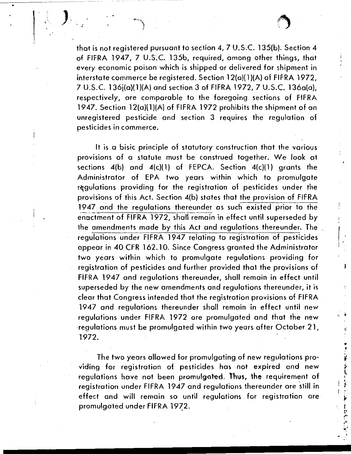I'  $\vert$  '.

 $\frac{1}{2}$   $\frac{1}{2}$ 

I

(

" ·'  $\mathbf{r}$ 

 $\sum_{i=1}^{N}$ 

 $\begin{array}{c} \n\frac{1}{2} \\
\frac{1}{2} \\
\frac{1}{2} \\
\frac{1}{2} \\
\frac{1}{2} \\
\frac{1}{2} \\
\frac{1}{2} \\
\frac{1}{2} \\
\frac{1}{2} \\
\frac{1}{2} \\
\frac{1}{2} \\
\frac{1}{2} \\
\frac{1}{2} \\
\frac{1}{2} \\
\frac{1}{2} \\
\frac{1}{2} \\
\frac{1}{2} \\
\frac{1}{2} \\
\frac{1}{2} \\
\frac{1}{2} \\
\frac{1}{2} \\
\frac{1}{2} \\
\frac{1}{2} \\
\frac{1}{2} \\
\frac{1}{2} \\
\frac{1}{2} \\
\frac{$ 

[ t.• ... , .. *ot'*  ··-

that is not registered pursuant to section 4, 7 U.S.C. l35(b). Section 4 of FIFRA 1947, 7 U.S.C. 135b, required, among other things, that every economic poison which is shipped or delivered for shipment in interstate commerce be registered. Section 12(a)(1)(A) of FIFRA 1972, 7 U.S.C. 136j(a)( 1 )(A) and section 3 of FIFRA 1972, 7 U.S.C. 136a(o), respectively, are comparable to the foregoing sections of FIFRA 1947. Section 12(a)(1)(A) of FIFRA 1972 prohibits the shipment of an unregistered pesticide and section 3 requires the regulation of pesticides in commerce.

---------··----···--· .. - --

... •,

*) '* . ' ..

 $\mathbf{1}$ 

I

.

It is a bisic principle of statutory construction that the various provisions of a statute must be construed together. We look at sections  $4(b)$  and  $4(c)(1)$  of FEPCA. Section  $4(c)(1)$  grants the Administrator of EPA two years within which to promulgate regulations providing for the registration of pesticides under the provisions of this Act. Section 4(b) states that the provision of FIFRA 1947 and the regulations thereunder as such existed prior to the enactment of FIFRA 1972, shall remain in effect until superseded by the amendments made by this Act and regulations thereunder. The regulations under FIFRA 1947 relating to registration of pesticides appear in 40 CFR 162.10. Since Congress granted the Administrator two years within which to promulgate regulations providing for registration of pesticides and further provided that the provisions of FIFRA 1947 and regulations thereunder, shall remain in effect until superseded by the new amendments and regulations thereunder, it is clear that Congress intended that the registration provisions of FIFRA 1947 and regulations thereunder shall remain in effect until new regulations under FIFRA 1972 are promulgated and that the new ·regulations must be promulgated within two years after October 21, 1972.

The two years allowed for promulgating of new regulations providing for registration of pesticides has not expired and new regulations have not been promulgated. Thus, the requirement of registration under FIFRA 1947 and regulations thereunder are 'still in effect and will remain so until regulations for registration are promulgated under FIFRA 1972.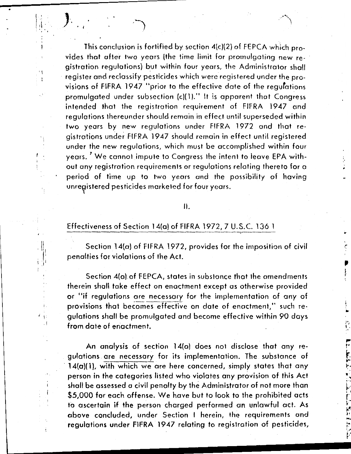This conclusion is fortified by section  $4(c)(2)$  of FEPCA which provides that after two years (the time limit for promulgating new registration regulations) but within four years, the Administrator shall · register and reclassify pesticides which were registered under the provisions of FIFRA 1947 "prior to the effective date of the regulations promulgated under subsection (c)(1)." It is apparent that Congress intended that the registration requirement of FIFRA 1947 and regulations thereunder should remain in effect until superseded within two years by new regulations under FIFRA 1972 and that registrations under FIFRA 1947 should remain in effect until registered under the new regulations, which must be accomplished within four years.  $^\prime$  We cannot impute to Congress the intent to leave EPA without any registration requirements or regulations relating thereto for a period of time up to two years and the possibility of having unregistered pesticides marketed for four years.

.·

..

...

,.. ... '

II ' ·' ~·· I a.

..<br>...<br>...

بر<br>م

·. .. . . .... .. <sup>~</sup>

 $\cdot$  I

'

 $\ddot{\phantom{0}}$ 

, '

 $\mathbb{I}_{\mathbb{I}}$  $\cdot$  1: .I

 $\cdot$ 

# II.

# Effectiveness of Section 14(a) of FIFRA 1972, 7 U.S.C. 136 1

Section 14(a) of FIFRA 1972, provides for the imposition of civil penalties for violations of the Act.

Section 4(a) of FEPCA, states in substance that the amendments therein shall take effect on enactment except as otherwise provided or "if regulations are necessary for the implementation of any of provisions that becomes effective on date of enactment," such regulations shall be promulgated and become effective within 90 days from date of enactment.

An analysis of section 14(a) does not disclose that any re- . gulations . are necessary for its implementation. The substance of  $14(a)(1)$ , with which we are here concerned, simply states that any person in the categories listed who violates any provision of this Act shall be assessed a civil penalty by the Administrator of not more than \$5,000 for each offense. We have but to look to the prohibited acts to ascertain if the person charged performed an unlawful act. As above concluded, under Section I herein, the requirements and regulations under FIFRA 1947 relating to registration of pesticides,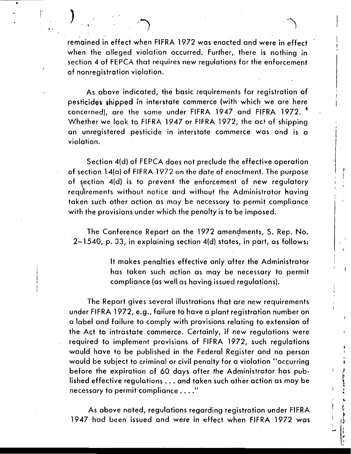remained in effect when FIFRA 1972 was enacted and were in effect when the alleged violation occurred. Further, there is nothing in section 4 of FEPCA that requires new regulations for the enforcement of nonregistration violation.

 $\left| \cdot \right|$ 

i .j I

 $\left\{\begin{array}{c} 1 \\ 1 \end{array}\right\}$ 

'

•

 $\left( \begin{array}{c} 1 \end{array} \right)$ 

' ' I

As above indicated, the basic requirements for registration of pesticides shipped in interstate commerce (with which we are here concerned), are the same under FIFRA 1947 and FIFRA 1972. • Whether we look to FIFRA 1947 or FIFRA 1972, the act of shipping an unregistered pesticide in interstate commerce was and is a violation.

Section 4(d) of FEPCA does not preclude the effective operation . of section 14(a) of FIFRA 1972 on the date of enactment. The purpose of section 4(d) is to prevent the enforcement of new regulatory requirements without notice and without the Administrator having taken such other action as may be necessary to permit compliance with the provisions under which the penalty is to be imposed.

The Conference Report on the 1972 amendments, S. Rep. No. ·2-1540, p. 33, in explaining section 4(d) states, in part, as follows:

> It makes penalties effective only after the Administrator has taken such action as may be necessary to permit compliance (as well as having issued regulations).

The Report gives several illustrations that are new requirements under FIFRA 1972, e.g., failure to have a plant registration number on . a label and failure to comply with provisions relating to extension of the Act to intrastate commerce. Certainly, if new regulations were required to implement provisions of FIFRA 1972, such regulations would have to be published in the Federal Register and no person would be subject to criminal or civil penalty for a violation "occurring before the expiration of 60 days after the Administrator has published effective regulations ... and taken such other action as may be necessary to permit compliance .... "

As above noted, regulations regarding registration under FIFRA 1947 had been issued and were in effect when FIFRA 1972 was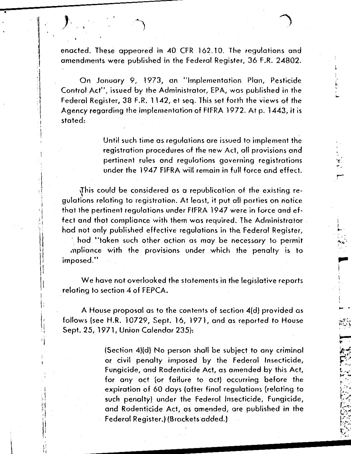,.....

i  $\cdot$  :  $\cdot$  .

,..

I

I .

.<br>(. . .

 $r_{\rm max}$ *(.A* ...  $\sim$  .  $\sim$  . . r مريد .<br>مريد ...<br>يوسيس  $-1.7$ l.:~."'--,-:  $\mathbb{R}$  if  $\frac{1}{2}$  .  $\ddotsc$  ,  $\ddotsc$ *!"\_i* · ... ... . · .. ..

enacted. These appeared in 40 CFR 162.10. The regulations and amendments were published in the Federal Register, 36 F.R. 24802.

•

 $\mathbf{r}$ 

I  $\mathbf{I}$ 

> . i  $\cdot$ i  $\cdot$  $\mathbf{H}$  :  $\mathbf{d}$

> > j!

On January 9, 1973, an ''Implementation Plan, Pesticide Control Act", issued by the Administrator, EPA, was published in the Federal Register, 38 F.R. 1142, et seq. This set forth the views of the Agency regarding the implementation of FIFRA 1972. At p. 1443, it is stated:

> Until such time as regulations are issued to implement the registration procedures of the new Act, all provisions and pertinent rules and regulations governing registrations under the 1947 FIFRA will remain in full force and effect.

{his could be considered as a republication of the existing regulations relating to registration. At least, it put all parties on notice that the pertinent regulations under FIFRA 1947 were in force and effect and that compliance with them was required. The Administrator had not only published effective regulations in the Federal Register,

\ had .. taken such other action as may be necessary to permit mpliance with the provisions under which the penalty is to imposed."

We have not overlooked the statements in the legislative reports relating to section 4 of FEPCA.

A House proposal as to the contents of section 4(d) provided as follows (see H.R. 10729, Sept. 16, 1971, and as reported to House Sept. 25, 1971, Union Calendar 235):

> (Section 4)(d) No person shall be subject to any criminal or civil penalty imposed by the Federal Insecticide, Fungicide, and Rodenticide Act, as amended by this. Act, for any act (or failure to · act) occurring before the expiration of 60 days (after final regulations (relating to such penalty) under the Federal Insecticide, Fungicide, and Rodenticide Act, as amended, are published in the Federal Register.) (Brackets added.)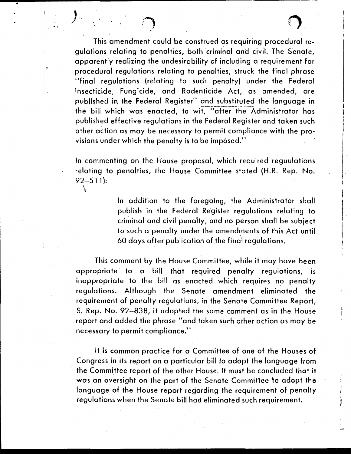i I

 $\vert \cdot \vert$ 

 $\vert$ I I

This amendment could be construed as requiring procedural regulations relating to penalties, both criminal and civil. The Senate, apparently realizing the undesirability of including a requirement for procedural regulations relating to penalties, struck the final phrase ••final regulations (relating to such penalty) under the Federal Insecticide, Fungicide, and Rodenticide Act, as amended, are published in the Federal Register" and substituted the language in the bill which was enacted, to wit, "after the Administrator has published effective regulations in the Federal Register and taken such other action as may be necessary to permit compliance with the provisions under which the penalty is to be imposed."

•

·I !  $\mathbf{I}$  .

> In commenting on the House proposal, which required reguulations relating to penalties, the House Committee stated (H.R. Rep. No.  $92 - 511$ : \

> > In addition to the foregoing, the Administrator shall publish in the Federal Register regulations relating to criminal and civil penalty, and no person shall be subject to such a penalty under the amendments of this Act until 60 days after publication of the final regulations.

This comment by the House Committee, while it may have been appropriate to a bill that required penalty regulations, is inappropriate to the bill as enacted which requires no penalty regulations. Although the Senate amendment eliminated the requirement of penalty regulations, in the Senate Committee Report, S. Rep. No. 92-838, it adopted the same comment as in the House report and added the phrase "and taken such other action as may be necessary to permit compliance."

It is common practice for a Committee of one of the Houses of Congress in its report on a particular bill to adopt the language from the Committee report of the other House. It must be concluded that it was an oversight on the part of the Senate Committee lo adopt the language of the House report regarding the requirement of penalty regulations when the Senate bill had eliminated such requirement.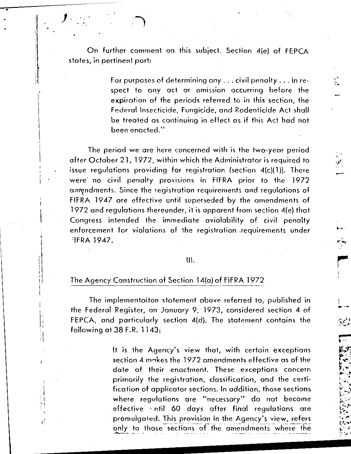•

 $\mathbf{I}$ 

 $j_{\odot}$ 

,· I  $\mathbf{I}$ 

 $\mathbf{I}$ I  $\vert$ I i  $\overline{a}$ 

> I  $\mathbf{I}$  ,  $\mathbf{I}$

 $\begin{bmatrix} 1 \\ 1 \\ 1 \end{bmatrix}$ 

l ·

·,  $1$ :

For purposes of determining any ... civil penalty ... in respect to any act or omission occurring before the expiration of the periods referred to in this section, the Federal Insecticide, Fungicide, and Rodenticide Act shall be treated as continuing in effect as if this Act had not been enacted."

.' , ,.,.

> ·-  $\mathcal{E}$  .

> > $\overline{p}$ . . .......

> > > .<br>,...<del>...</del>

The period we are here concerned with is the two-year period after October 21, 1972, within which the Administrator is required to issue regulations providing for registration (section 4(c)(1)). There were no civil penalty provisions in FIFRA prior to the 1972 amendments. Since the registration requirements and regulations of FIFRA 1947 are effective until superseded by the amendments of 1972 and regulations thereunder, it is apparent from section 4(e) that Congress intended the immediate avialobility of civil penalty enforcement for violations of the registration .requirements under  $FIRA$  1947.

# Ill.

## The Agency Construction of Section l4(o) of FIFRA 1972 .

The implementoiton statement above referred to, published in the Federal Register, on January 9, 1973, considered section 4 of FEPCA, and particularly section 4(d). The statement contains the following at  $38$  F.R. 1143:

> It is the Agency's view that, with certain exceptions section 4 makes the 1972 amendments effective as of the dote of their enactment. These exceptions concern primarily the registration, classification, and the certification of applicator sections. In addition, those sections where regulations ore "necessary" do not become effective 1 ntil 60 days after final regulations are promulgated. This provision in the Agency's view, refers only to those sections of the amendments where the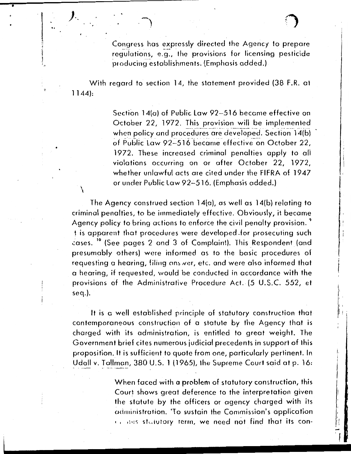With regard to section 14, the statement provided {38 F.R. at 1144):

•

7

\

) *..* -~

Section 14(a) of Public Law 92-516 became effective on October 22, 1972. This provision will be implemented when policy and procedures are developed. Section 14(b) of Public Law 92-516 became effective on October 22, 1972. These increased criminal penalties apply to all violations occurring on or after October 22, 1972, whether unlawful acts are cited under the FIFRA of 1947 or under Public law 92-516. (Emphasis added.)

I

 $\mathbf{I}$ I

I ļ. I;

i I <u>ון</u><br>-

The Agency construed section 14(a), as well as 14(b) relating to criminal penalties, to be immediately effective. Obviously, it became Agency policy to bring actions to enforce the civil penalty provision.<sup>9</sup> t is apparent that procedures were developed .for prosecuting such cases. <sup>10</sup> (See pages 2 and 3 of Complaint). This Respondent (and presumably others} were informed as to the basic procedures of requesting a hearing, filing ans ver, etc. and were also informed that a hearing, if requested, would be conducted in accordance with the provisions of the Administrative Procedure Act. (5 U.S.C. 552, et seq.}.

It is a well established principle of statutory construction that contemporaneous construction of a statute by the Agency that is charged with its administration, is entitled to great weight. The Government brief cites numerous judicial precedents in support of this proposition. It is sufficient to quote from one, particularly pertinent. In Udall v. Tallman, 380 U.S. 1 ( 1965), the Supreme Court said at p. 16:

> When faced with a problem of statutory construction, this Court shows great deference to the interpretation given the statute by the officers or agency charged with its administration. 'To sustain the Commission's application  $\epsilon$  is also statutory term, we need not find that its con-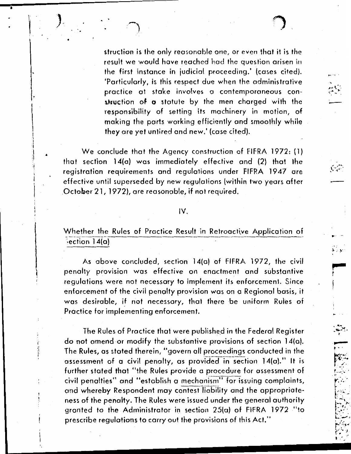,... ....

-

-  $\sim$  .  $\mathcal{P}(\mathcal{A}^{\bullet})$  .

~- ..

 $\cdot \frac{1}{n}$ ~

 $\mathbb{Z}$  . .1- ··· *r* -- <sup>~</sup>-.· . . , .. *r* .. k. "- '

> $\Gamma$  . . . .  $\sim$  ...  $\mathbb{R}^N$ .<br>. سياسا

struction is the only reasonable one, or even that it is the result we would hove reached had the question arisen in the first instance in judicial proceeding.' (cases cited). •particularly, is this respect due when the administrative practice at stoke involves a contemporaneous construction of  $\sigma$  statute by the men charged with the responsibility of setting its machinery in motion, of making the ports working efficiently and smoothly while they ore yet unfired and new.' (case cited).

We conclude that the Agency construction of FIFRA 1972: (1) that section 14(a) was immediately effective and (2) that the registration requirements and regulations under FIFRA 1947 ore effective until superseded by new regulations (within two years after October 21, 1972), are reasonable, if not required.

I

I

I' i! .! I' '

I ! I I I ~

# IV.

Whether the Rules of Practice Result in Retroactive Application of  $\epsilon$  ection 14(a)

As above concluded, section 14(a) of FIFRA 1972, the civil penalty provision was effective on enactment and substantive regulations were not necessary to implement its enforcement. Since enforcement of the civil penalty provision was on a Regional basis, it was desirable, if not necessary, that there be uniform Rules of Practice for implementing enforcement.

The Rules of Practice that were published in the Federal Register do not amend or modify the substantive provisions of section 14(o). The Rules, as stated therein, "govern all proceedings conducted in the assessment of a civil penalty, as provided in section  $14(a)$ ." It is further stated that "the Rules provide a procedure for assessment of civil penalties" and "establish a mechanism" for issuing complaints, and whereby Respondent may contest liability and the appropriateness of the penalty. The Rules were issued under the general authority granted to the Administrator in section 25(a) of FIFRA 1972 "to prescribe regulations to carry out the provisions of this Act."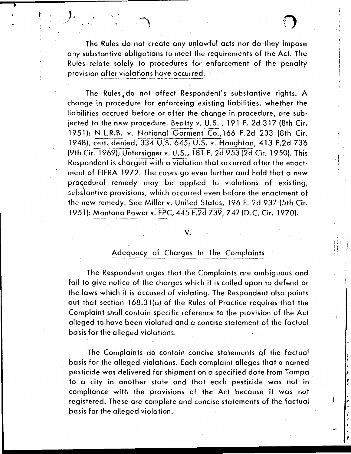The Rules do not create any unlawful acts nor do they impose any substantive obligations to meet the requirements of the Act. The Rules relate solely to procedures for enforcement of the penalty provision after violations have occurred.

*)·.* ~ \ .J

..

I ' I I

 $\vert$  . I  $\frac{1}{2}$ 

I

; :

> $\frac{1}{\epsilon}$ •'

*r* 

,. ' '

; . I ! ~

The Rules do not affect Respondent's substantive rights. A change in procedure for enforceing existing liabilities, whether the liabilities accrued before or after the change in procedure, are subjected to the new procedure. Beatty v. U.S. , 191 F. 2d 317 (8th Cir.<br>1951): N.L.R.B. v. National Garment Co., 166 F.2d 233 (8th Cir. 1948), cert. denied, 334 U.S. 645; U.S. v. Haughton, 413 F.2d 736 (9th Cir. 1969); Untersigner v. U.S., 181 F. 2d 953 (2d Cir. 1950). This Respondent is charged with a violation that occurred after the enactment of FIFRA 1972. The cases go even further and hold that a new procedural remedy may be applied to violations of existing, substantive provisions, which occurred even before the enactment of the new remedy. See Miller v. United States, 196 F. 2d 937 {5th Cir. 1951): Montana Power v. FPC, 445 F.2d 739, 747 (D.C. Cir. 1970).

#### v.

# Adequacy of Charges In The Complaints

The Respondent urges that the Complaints are ambiguous and fail to give notice of the charges which it is called upon to defend or the laws which it is accused of violating. The Respondent also points out that section 168.3.1 (a) of the Rules of Practice requires that the Complaint shall contain specific reference to the provision of the Act alleged to have been violated and a concise statement of the factual basis for the alleged violations.

The Complaints do contain concise statements of the factual basis for the alleged violations. Each complaint alleges that a named pesticide was delivered for shipment on a specified date from Tampa to a city in another state and that each pesticide was not in compliance with the provisions of the Act because it was not registered. These are complete and concise statements of the factual basis for the alleged violation.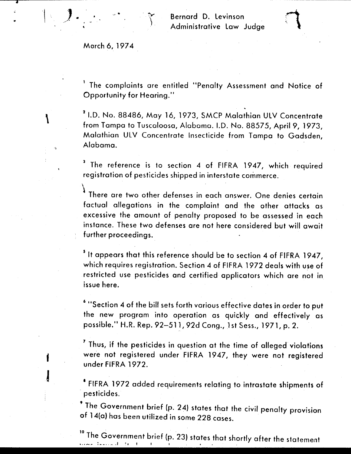March 6, 1974

).  $\mathbf{r}$ 

 $\overline{\mathbf{r}}$ 

 $\left| \begin{array}{c} \frac{1}{2} \\ \frac{1}{2} \end{array} \right|$ 

*/* 

\

f

I

1 The complaints are entitled "Penalty Assessment and Notice of Opportunity for Hearing."

2 I.D. No. 88486, May 16, 1973, SMCP Malathion ULV Concentrate from Tampa to Tuscaloosa, Alabama. I.D. No. 88575, April 9, 1973, Malathian ULV Concentrate Insecticide from Tampa to Gadsden, Alabama.

<sup>3</sup> The reference is to section 4 of FIFRA 1947, which required registration of pesticides shipped in interstate commerce.

There are two other defenses in each answer. One denies certain factual allegations in the complaint and the other attacks as excessive the amount of penalty proposed to be assessed in each instance. These two defenses are not here considered but will await further proceedings.

5 It appears that this reference should be to section *4* of FIFRA 1947, which requires registration. Section *4* of FIFRA 1972 deals with use of restricted use pesticides and certified applicators which are not in issue here.

<sup>6</sup>••section *4* of the bill sets forth various effective dates in order to put the new program into operation as quickly and effectively as possible." H.R. Rep. 92-511, 92d Cong., 1st Sess., 1971, p. 2.

7 Thus, if the pesticides in question at the time of alleged violations were not registered under FIFRA 1947, they were not registered under FIFRA 1972.

1 FIFRA 1972 added requirements relating to intrastate shipments of · pesticides.

9 The Government brief (p. 24) states that the civil penalty provision of 14(a) has been utilized in some 228 cases.

 $10^{\circ}$  The Government brief (p. 23) states that shortly after the statement  $10^{\circ}$